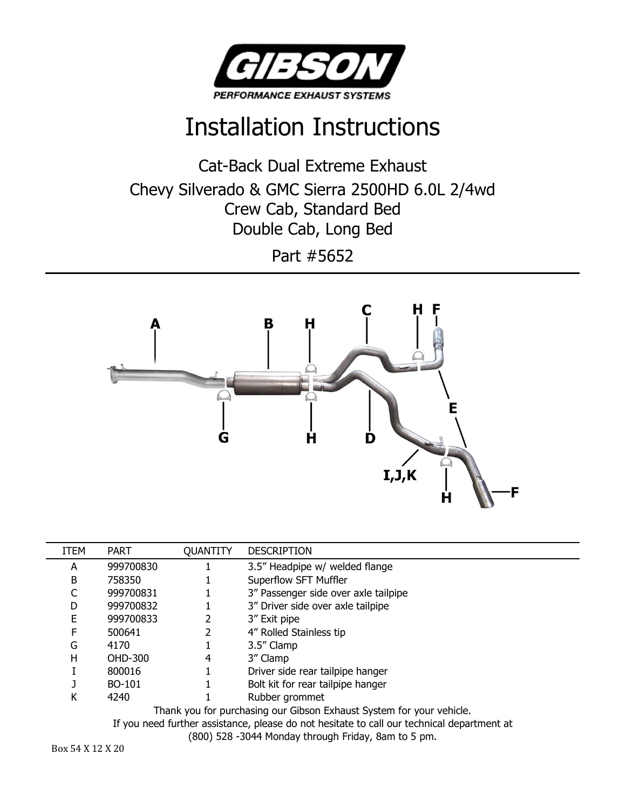

## Installation Instructions

Cat-Back Dual Extreme Exhaust Chevy Silverado & GMC Sierra 2500HD 6.0L 2/4wd Crew Cab, Standard Bed Double Cab, Long Bed

Part #5652



| <b>ITEM</b>                                                         | <b>PART</b> | <b>QUANTITY</b> | <b>DESCRIPTION</b>                   |
|---------------------------------------------------------------------|-------------|-----------------|--------------------------------------|
| А                                                                   | 999700830   |                 | 3.5" Headpipe w/ welded flange       |
| B                                                                   | 758350      |                 | Superflow SFT Muffler                |
|                                                                     | 999700831   |                 | 3" Passenger side over axle tailpipe |
| D                                                                   | 999700832   |                 | 3" Driver side over axle tailpipe    |
| E                                                                   | 999700833   |                 | 3" Exit pipe                         |
| F                                                                   | 500641      |                 | 4" Rolled Stainless tip              |
| G                                                                   | 4170        |                 | 3.5" Clamp                           |
| н                                                                   | OHD-300     | 4               | 3" Clamp                             |
|                                                                     | 800016      |                 | Driver side rear tailpipe hanger     |
|                                                                     | BO-101      |                 | Bolt kit for rear tailpipe hanger    |
| К                                                                   | 4240        |                 | Rubber grommet                       |
| Thank you for purchasing our Gibson Exhaust System for your vehicle |             |                 |                                      |

Thank you for purchasing our Gibson Exhaust System for your vehicle.

If you need further assistance, please do not hesitate to call our technical department at

(800) 528 -3044 Monday through Friday, 8am to 5 pm.